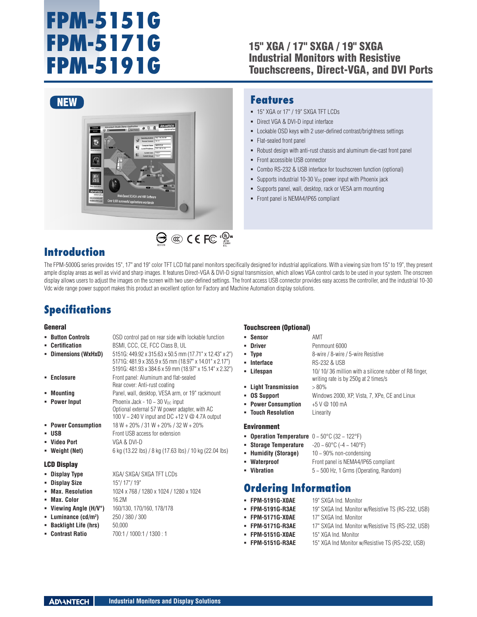# **FPM-5151G FPM-5171G FPM-5191G**

### 15" XGA / 17" SXGA / 19" SXGA Industrial Monitors with Resistive Touchscreens, Direct-VGA, and DVI Ports



### **Features**

- 15" XGA or 17" / 19" SXGA TFT LCDs
- **-** Direct VGA & DVI-D input interface
- Lockable OSD keys with 2 user-defined contrast/brightness settings
- Flat-sealed front panel
- Robust design with anti-rust chassis and aluminum die-cast front panel
- Front accessible USB connector
- Combo RS-232 & USB interface for touchscreen function (optional)
- Supports industrial 10-30  $V_{DC}$  power input with Phoenix jack
- Supports panel, wall, desktop, rack or VESA arm mounting
- Front panel is NEMA4/IP65 compliant

### **Introduction**

The FPM-5000G series provides 15", 17" and 19" color TFT LCD flat panel monitors specifically designed for industrial applications. With a viewing size from 15" to 19", they present ample display areas as well as vivid and sharp images. It features Direct-VGA & DVI-D signal transmission, which allows VGA control cards to be used in your system. The onscreen display allows users to adjust the images on the screen with two user-defined settings. The front access USB connector provides easy access the controller, and the industrial 10-30 Vdc wide range power support makes this product an excellent option for Factory and Machine Automation display solutions.

En

### **Specifications**

#### **General**

#### **Button Controls** OSD control pad on rear side with lockable function **Certification** BSMI, CCC, CE, FCC Class B, UL **Dimensions (WxHxD)** 5151G: 449.92 x 315.63 x 50.5 mm (17.71" x 12.43" x 2") 5171G: 481.9 x 355.9 x 55 mm (18.97" x 14.01" x 2.17") 5191G: 481.93 x 384.6 x 59 mm (18.97" x 15.14" x 2.32") **Enclosure Enclosure Front panel: Aluminum and flat-sealed** Rear cover: Anti-rust coating **Mounting** Panel, wall, desktop, VESA arm, or 19" rackmount **Power Input** Phoenix Jack -  $10 \sim 30$  V<sub>DC</sub> input Optional external 57 W power adapter, with AC 100 V ~ 240 V input and DC +12 V @ 4.7A output **Power Consumption** 18 W + 20% / 31 W + 20% / 32 W + 20% **USB** Front USB access for extension **Video Port** VGA & DVI-D **Weight (Net)** 6 kg (13.22 lbs) / 8 kg (17.63 lbs) / 10 kg (22.04 lbs) LCD Display **Display Type** XGA/ SXGA/ SXGA TFT LCDs **Display Size** 15"/ 17"/ 19" **Max. Resolution** 1024 x 768 / 1280 x 1024 / 1280 x 1024 **Max. Color** 16.2M **Viewing Angle (H/V°)** 160/130, 170/160, 178/178 **Luminance (cd/m2 )** 250 / 380 / 300 **Backlight Life (hrs)** 50,000

**Contrast Ratio** 700:1 / 1000:1 / 1300 : 1

#### Touchscreen (Optional)

| • Sensor             | AMT                                                                                           |
|----------------------|-----------------------------------------------------------------------------------------------|
| • Driver             | Penmount 6000                                                                                 |
| = Tvpe               | 8-wire / 8-wire / 5-wire Resistive                                                            |
| • Interface          | <b>RS-232 &amp; USB</b>                                                                       |
| • Lifespan           | 10/10/36 million with a silicone rubber of R8 finger.<br>writing rate is by 250g at 2 times/s |
| - Light Transmission | $> 80\%$                                                                                      |
| <b>OS Support</b>    | Windows 2000, XP, Vista, 7, XPe, CE and Linux                                                 |
| • Power Consumption  | $+5$ V $@$ 100 mA                                                                             |
| • Touch Resolution   | Linearity                                                                                     |
| Environment          |                                                                                               |

- **Operation Temperature** 0 ~ 50°C (32 ~ 122°F)
- **Storage Temperature**  $-20 \sim 60^{\circ}$ C (-4 ~ 140°F)
- **Humidity (Storage)** 10 ~ 90% non-condensing
- **Waterproof** Front panel is NEMA4/IP65 compliant
- **Vibration** 5 ~ 500 Hz, 1 Grms (Operating, Random)

### **Ordering Information**

- **FPM-5191G-X0AE** 19" SXGA Ind. Monitor
- **FPM-5191G-R3AE** 19" SXGA Ind. Monitor w/Resistive TS (RS-232, USB)
- **FPM-5171G-X0AE** 17" SXGA Ind. Monitor
- **FPM-5171G-R3AE** 17" SXGA Ind. Monitor w/Resistive TS (RS-232, USB)
- **FPM-5151G-X0AE** 15" XGA Ind. Monitor
- **FPM-5151G-R3AE** 15" XGA Ind Monitor w/Resistive TS (RS-232, USB)